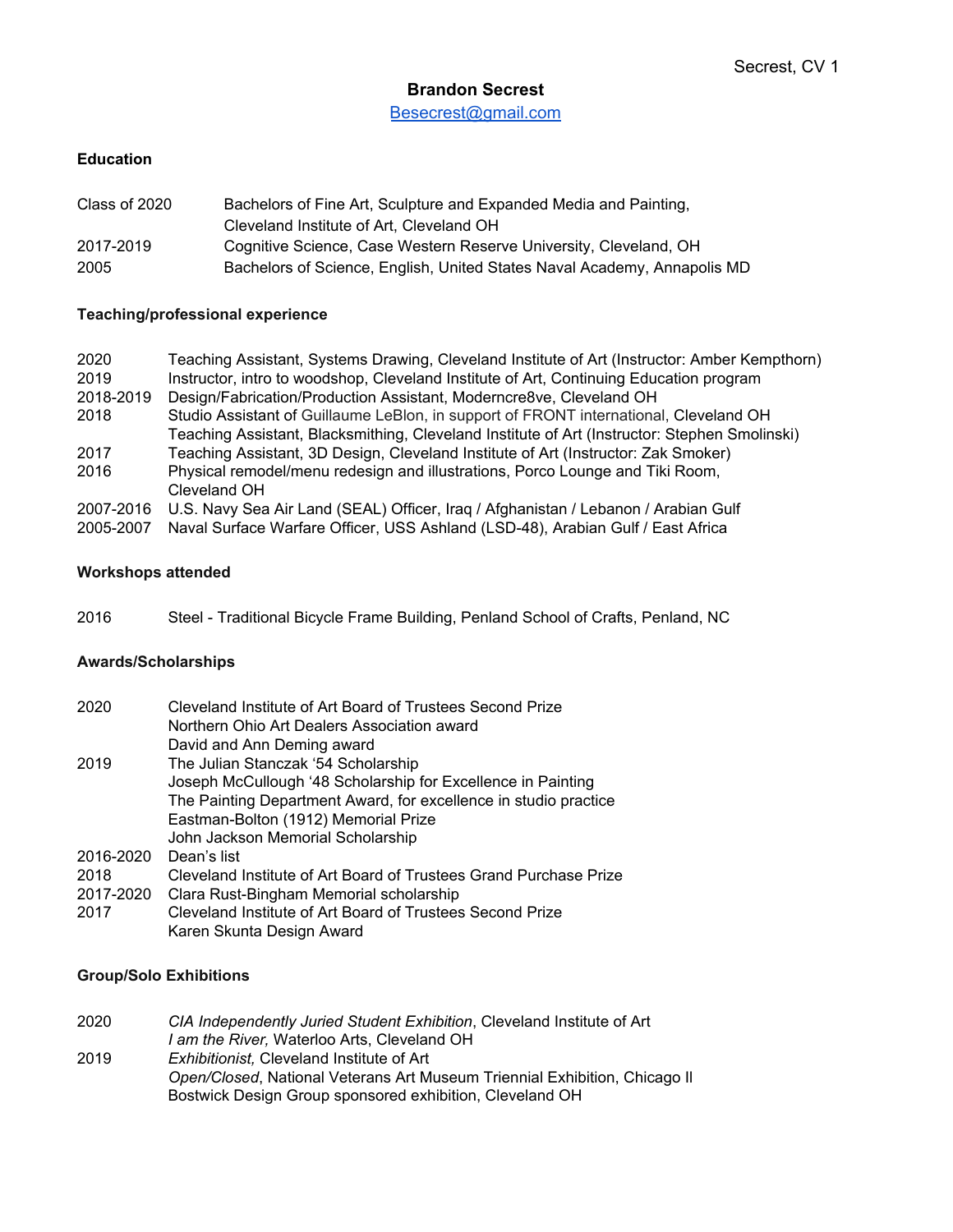# **Brandon Secrest**

[Besecrest@gmail.com](mailto:Besecrest@gmail.com)

### **Education**

| Class of 2020 | Bachelors of Fine Art, Sculpture and Expanded Media and Painting,        |
|---------------|--------------------------------------------------------------------------|
|               | Cleveland Institute of Art. Cleveland OH                                 |
| 2017-2019     | Cognitive Science, Case Western Reserve University, Cleveland, OH        |
| 2005          | Bachelors of Science, English, United States Naval Academy, Annapolis MD |

### **Teaching/professional experience**

| Teaching Assistant, Systems Drawing, Cleveland Institute of Art (Instructor: Amber Kempthorn) |
|-----------------------------------------------------------------------------------------------|
| Instructor, intro to woodshop, Cleveland Institute of Art, Continuing Education program       |
| Design/Fabrication/Production Assistant, Moderncre8ve, Cleveland OH                           |
| Studio Assistant of Guillaume LeBlon, in support of FRONT international, Cleveland OH         |
| Teaching Assistant, Blacksmithing, Cleveland Institute of Art (Instructor: Stephen Smolinski) |
| Teaching Assistant, 3D Design, Cleveland Institute of Art (Instructor: Zak Smoker)            |
| Physical remodel/menu redesign and illustrations, Porco Lounge and Tiki Room,                 |
| Cleveland OH                                                                                  |
| U.S. Navy Sea Air Land (SEAL) Officer, Iraq / Afghanistan / Lebanon / Arabian Gulf            |
| Naval Surface Warfare Officer, USS Ashland (LSD-48), Arabian Gulf / East Africa               |
|                                                                                               |

### **Workshops attended**

2016 Steel - Traditional Bicycle Frame Building, Penland School of Crafts, Penland, NC

## **Awards/Scholarships**

| 2020      | Cleveland Institute of Art Board of Trustees Second Prize         |
|-----------|-------------------------------------------------------------------|
|           | Northern Ohio Art Dealers Association award                       |
|           | David and Ann Deming award                                        |
| 2019      | The Julian Stanczak '54 Scholarship                               |
|           | Joseph McCullough '48 Scholarship for Excellence in Painting      |
|           | The Painting Department Award, for excellence in studio practice  |
|           | Eastman-Bolton (1912) Memorial Prize                              |
|           | John Jackson Memorial Scholarship                                 |
| 2016-2020 | Dean's list                                                       |
| 2018      | Cleveland Institute of Art Board of Trustees Grand Purchase Prize |
| 2017-2020 | Clara Rust-Bingham Memorial scholarship                           |
| 2017      | Cleveland Institute of Art Board of Trustees Second Prize         |
|           | Karen Skunta Design Award                                         |

## **Group/Solo Exhibitions**

| 2020 | CIA Independently Juried Student Exhibition, Cleveland Institute of Art    |
|------|----------------------------------------------------------------------------|
|      | I am the River. Waterloo Arts. Cleveland OH                                |
| 2019 | <i>Exhibitionist.</i> Cleveland Institute of Art                           |
|      | Open/Closed, National Veterans Art Museum Triennial Exhibition, Chicago II |
|      | Bostwick Design Group sponsored exhibition, Cleveland OH                   |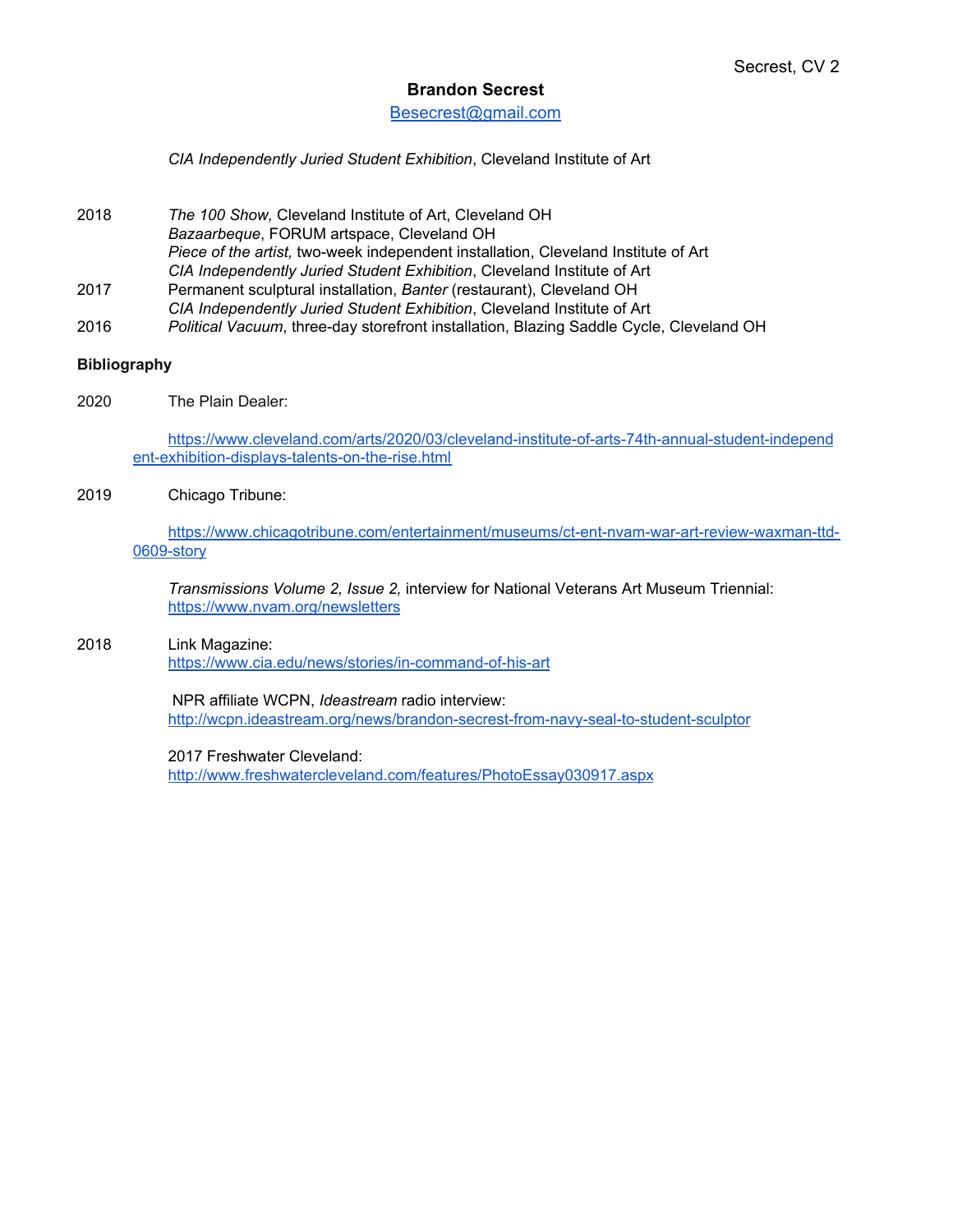### **Brandon Secrest**

### [Besecrest@gmail.com](mailto:Besecrest@gmail.com)

*CIA Independently Juried Student Exhibition*, Cleveland Institute of Art

- 2018 *The 100 Show,* Cleveland Institute of Art, Cleveland OH *Bazaarbeque*, FORUM artspace, Cleveland OH *Piece of the artist,* two-week independent installation, Cleveland Institute of Art *CIA Independently Juried Student Exhibition*, Cleveland Institute of Art 2017 Permanent sculptural installation, *Banter* (restaurant), Cleveland OH
- *CIA Independently Juried Student Exhibition*, Cleveland Institute of Art
- 2016 *Political Vacuum*, three-day storefront installation, Blazing Saddle Cycle, Cleveland OH

#### **Bibliography**

2020 The Plain Dealer:

[https://www.cleveland.com/arts/2020/03/cleveland-institute-of-arts-74th-annual-student-independ](https://www.cleveland.com/arts/2020/03/cleveland-institute-of-arts-74th-annual-student-independent-exhibition-displays-talents-on-the-rise.html) [ent-exhibition-displays-talents-on-the-rise.html](https://www.cleveland.com/arts/2020/03/cleveland-institute-of-arts-74th-annual-student-independent-exhibition-displays-talents-on-the-rise.html)

#### 2019 Chicago Tribune:

[https://www.chicagotribune.com/entertainment/museums/ct-ent-nvam-war-art-review-waxman-ttd-](https://www.chicagotribune.com/entertainment/museums/ct-ent-nvam-war-art-review-waxman-ttd-0609-story.html?fbclid=IwAR0zyneSwj6B3zitdUY6N2l0Azi_9V1jzmduyzqHtab8no4XJ1TcWezbLaQ)[0609-story](https://www.chicagotribune.com/entertainment/museums/ct-ent-nvam-war-art-review-waxman-ttd-0609-story.html?fbclid=IwAR0zyneSwj6B3zitdUY6N2l0Azi_9V1jzmduyzqHtab8no4XJ1TcWezbLaQ)

*Transmissions Volume 2, Issue 2,* interview for National Veterans Art Museum Triennial: <https://www.nvam.org/newsletters>

#### 2018 Link Magazine: <https://www.cia.edu/news/stories/in-command-of-his-art>

NPR affiliate WCPN, *Ideastream* radio interview: <http://wcpn.ideastream.org/news/brandon-secrest-from-navy-seal-to-student-sculptor>

2017 Freshwater Cleveland:

<http://www.freshwatercleveland.com/features/PhotoEssay030917.aspx>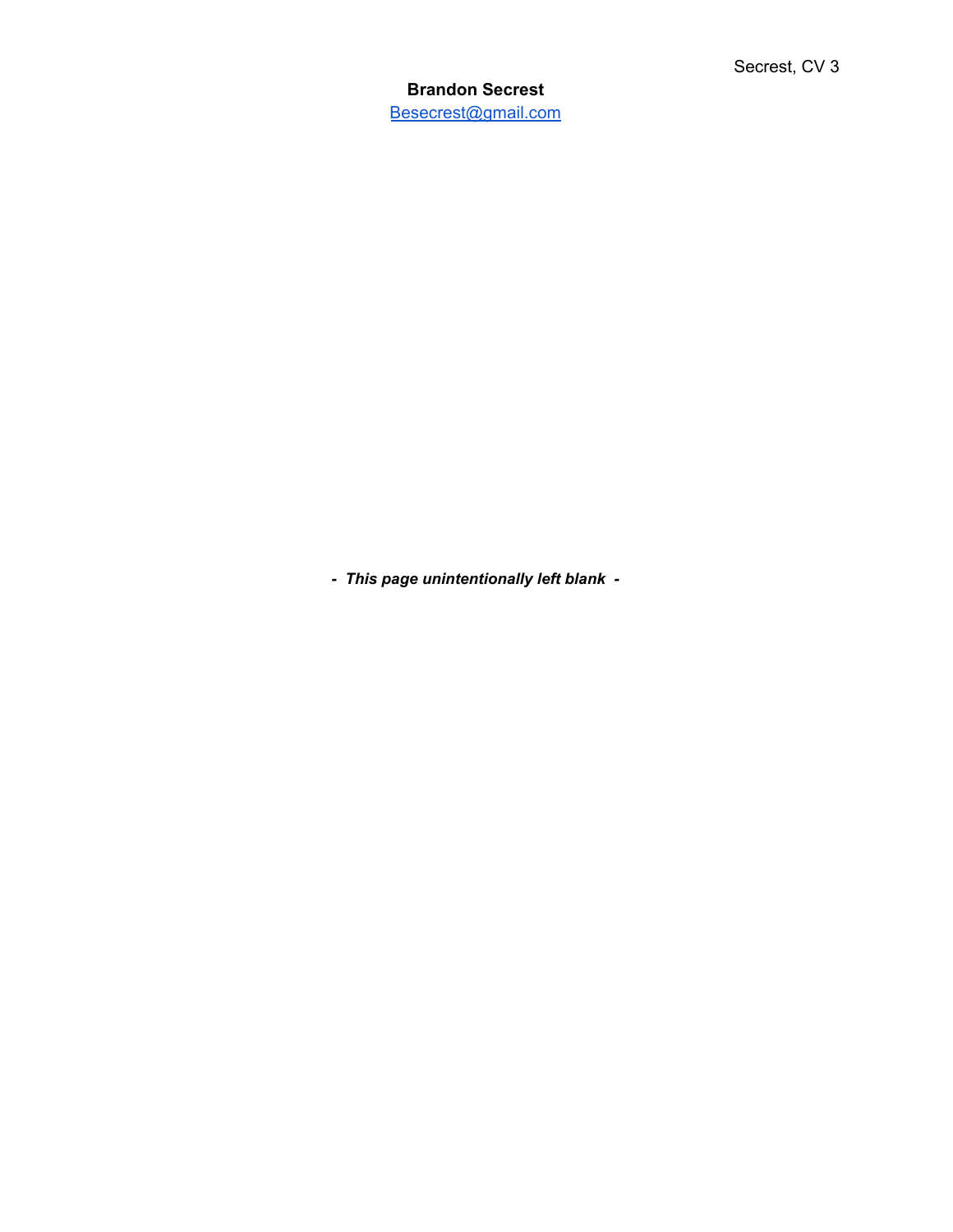**Brandon Secrest** [Besecrest@gmail.com](mailto:Besecrest@gmail.com)

*- This page unintentionally left blank -*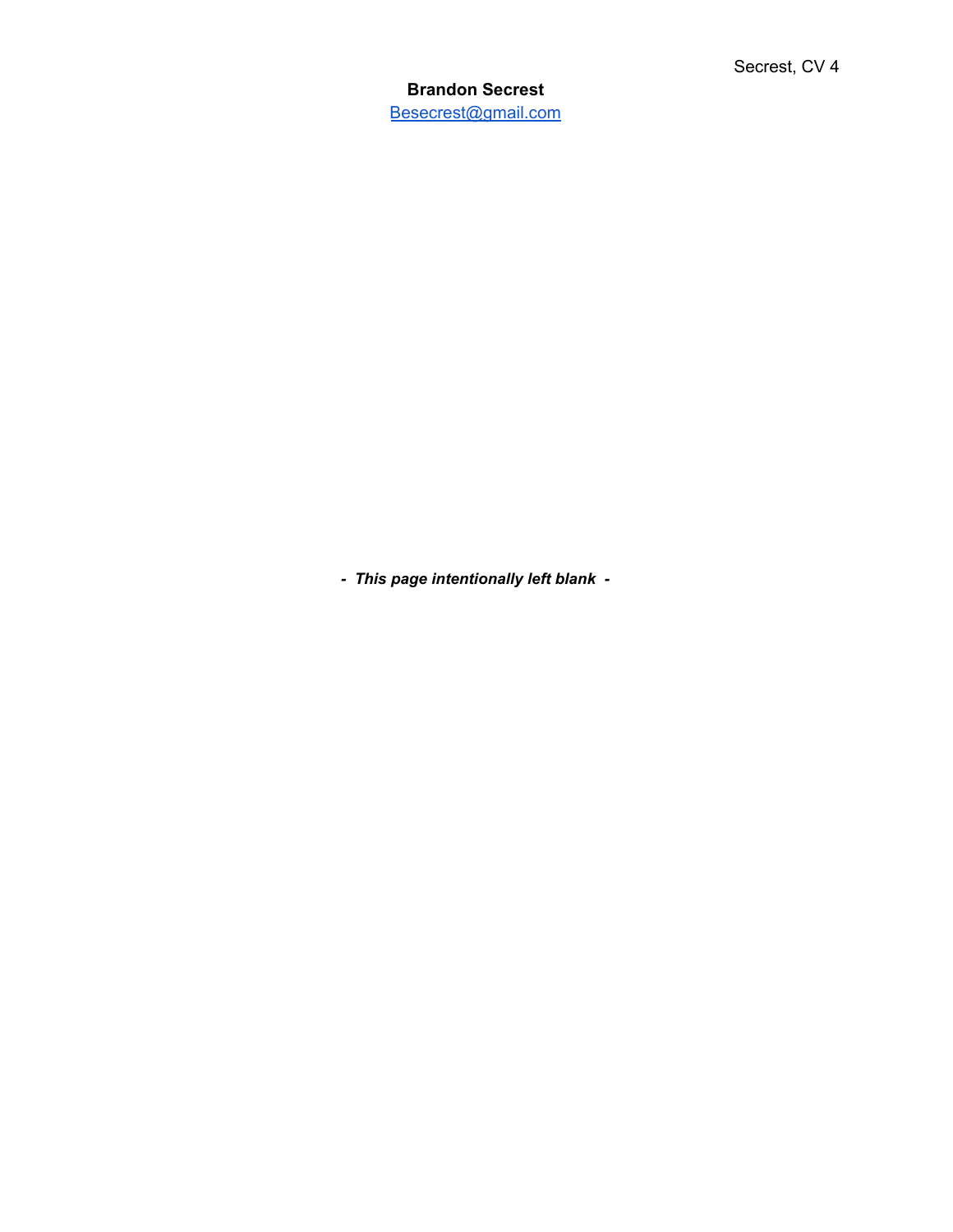**Brandon Secrest** [Besecrest@gmail.com](mailto:Besecrest@gmail.com)

*- This page intentionally left blank -*